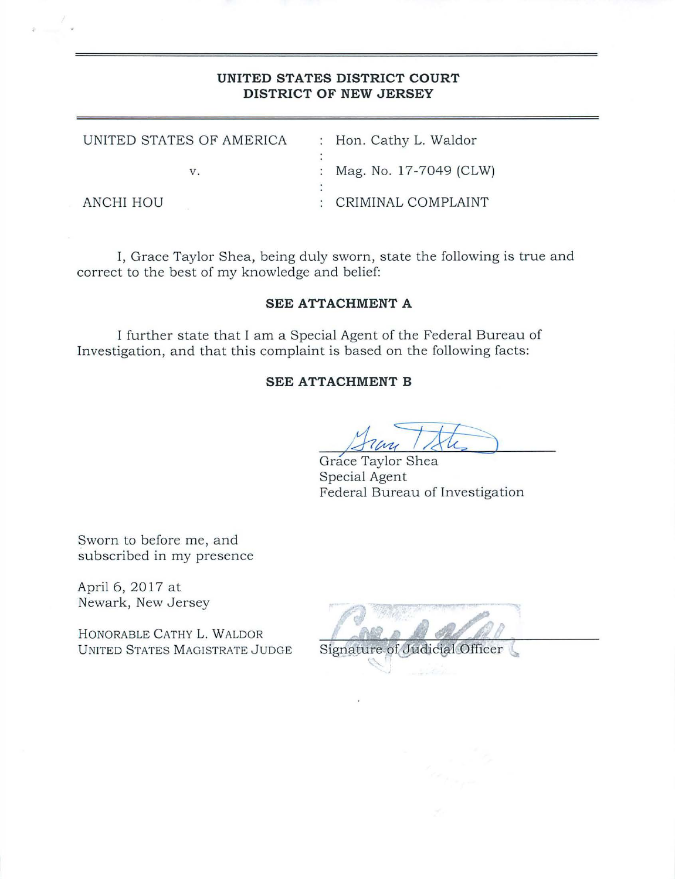# **UNITED STATES DISTRICT COURT DISTRICT OF NEW JERSEY**

| UNITED STATES OF AMERICA | : Hon. Cathy L. Waldor   |  |
|--------------------------|--------------------------|--|
|                          |                          |  |
| $V_{-}$                  | : Mag. No. 17-7049 (CLW) |  |
|                          |                          |  |
| ANCHI HOU                | : CRIMINAL COMPLAINT     |  |

I, Grace Taylor Shea, being duly sworn, state the following is true and correct to the best of my knowledge and belief:

### **SEE ATTACHMENT A**

I further state that I am a Special Agent of the Federal Bureau of Investigation, and that this complaint is based on the following facts:

## **SEE ATTACHMENT B**

**<sup>7</sup>**Grace Taylor Shea Special Agent Federal Bureau of Investigation

Sworn to before me, and subscribed in my presence

April 6, 2017 at Newark, New Jersey

HONORABLE CATHY L. WALDOR UNITED STATES MAGISTRATE JUDGE

| Signature of Judicial Officer |  |  |
|-------------------------------|--|--|

17.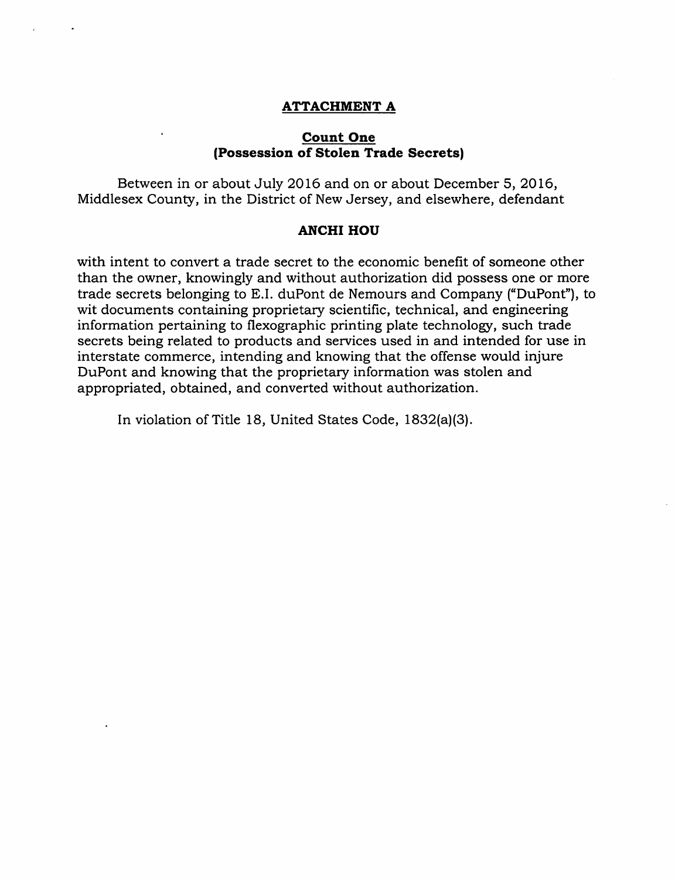#### **ATTACHMENT A**

#### **Count One (Possession of Stolen Trade Secrets)**

Between in or about July 2016 and on or about December 5, 2016, Middlesex County, in the District of New Jersey, and elsewhere, defendant

### **ANCHI HOU**

with intent to convert a trade secret to the economic benefit of someone other than the owner, knowingly and without authorization did possess one or more trade secrets belonging to E.I. duPont de Nemours and Company ("DuPont"), to wit documents containing proprietary scientific, technical, and engineering information pertaining to flexographic printing plate technology, such trade secrets being related to products and services used in and intended for use in interstate commerce, intending and knowing that the offense would injure DuPont and knowing that the proprietary information was stolen and appropriated, obtained, and converted without authorization.

In violation of Title 18, United States Code, 1832(a)(3).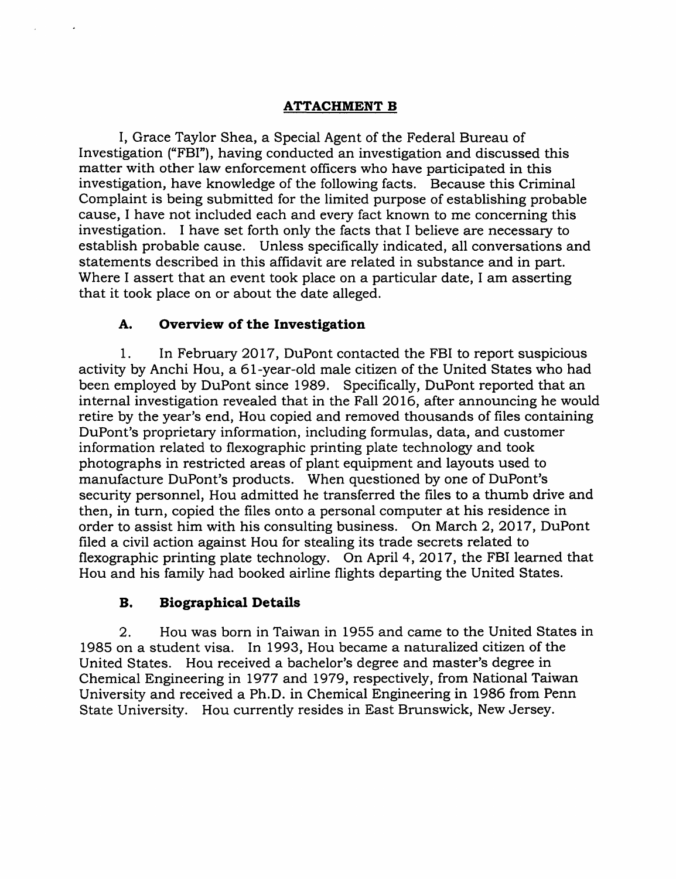# **ATTACHMENT B**

I, Grace Taylor Shea, a Special Agent of the Federal Bureau of Investigation ("FBI"), having conducted an investigation and discussed this matter with other law enforcement officers who have participated in this investigation, have knowledge of the following facts. Because this Criminal Complaint is being submitted for the limited purpose of establishing probable cause, I have not included each and every fact known to me concerning this investigation. I have set forth only the facts that I believe are necessary to establish probable cause. Unless specifically indicated, all conversations and statements described in this affidavit are related in substance and in part. Where I assert that an event took place on a particular date, I am asserting that it took place on or about the date alleged.

# **A. Overview of the Investigation**

1. In February 2017, DuPont contacted the FBI to report suspicious activity by Anchi Hou, a 61-year-old male citizen of the United States who had been employed by DuPont since 1989. Specifically, DuPont reported that an internal investigation revealed that in the Fall 2016, after announcing he would retire by the year's end, Hou copied and removed thousands of files containing DuPont's proprietary information, including formulas, data, and customer information related to flexographic printing plate technology and took photographs in restricted areas of plant equipment and layouts used to manufacture DuPont's products. When questioned by one of DuPont's security personnel, Hou admitted he transferred the files to a thumb drive and then, in turn, copied the files onto a personal computer at his residence in order to assist him with his consulting business. On March 2, 2017, DuPont filed a civil action against Hou for stealing its trade secrets related to flexographic printing plate technology. On April 4, 2017, the FBI learned that Hou and his family had booked airline flights departing the United States.

# **B. Biographical Details**

2. Hou was born in Taiwan in 1955 and came to the United States in 1985 on a student visa. In 1993, Hou became a naturalized citizen of the United States. Hou received a bachelor's degree and master's degree in Chemical Engineering in 1977 and 1979, respectively, from National Taiwan University and received a Ph.D. in Chemical Engineering in 1986 from Penn State University. Hou currently resides in East Brunswick, New Jersey.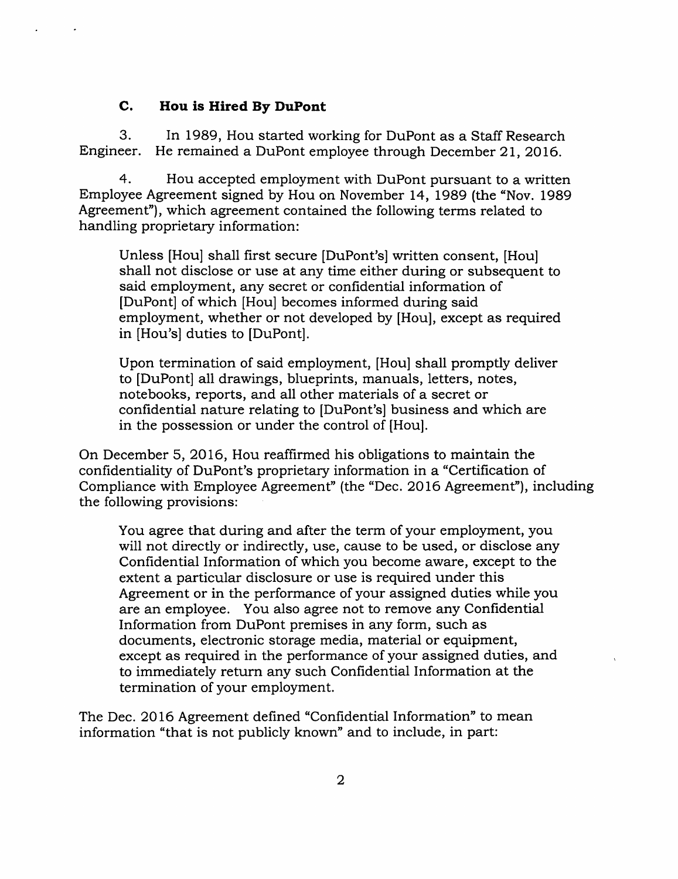# **C. Hou is Hired By DuPont**

3. In 1989, Hou started working for DuPont as a Staff Research Engineer. He remained a DuPont employee through December 21, 2016.

4. Hou accepted employment with DuPont pursuant to a written Employee Agreement signed by Hou on November 14, 1989 (the "Nov. 1989 Agreement"), which agreement contained the following terms related to handling proprietary information:

Unless [Hou] shall first secure [DuPont's] written consent, (Hou] shall not disclose or use at any time either during or subsequent to said employment, any secret or confidential information of [DuPont] of which [Hou] becomes informed during said employment, whether or not developed by (Hou], except as required in [Hou's] duties to [DuPont].

Upon termination of said employment, [Hou] shall promptly deliver to [DuPont] all drawings, blueprints, manuals, letters, notes, notebooks, reports, and all other materials of a secret or confidential nature relating to [DuPont's] business and which are in the possession or under the control of [Hou].

On December 5, 2016, Hou reaffirmed his obligations to maintain the confidentiality of DuPont's proprietary information in a "Certification of Compliance with Employee Agreement" (the "Dec. 2016 Agreement"), including the following provisions:

You agree that during and after the term of your employment, you will not directly or indirectly, use, cause to be used, or disclose any Confidential Information of which you become aware, except to the extent a particular disclosure or use is required under this Agreement or in the performance of your assigned duties while you are an employee. You also agree not to remove any Confidential Information from DuPont premises in any form, such as documents, electronic storage media, material or equipment, except as required in the performance of your assigned duties, and to immediately return any such Confidential Information at the termination of your employment.

The Dec. 2016 Agreement defined "Confidential Information" to mean information "that is not publicly known" and to include, in part: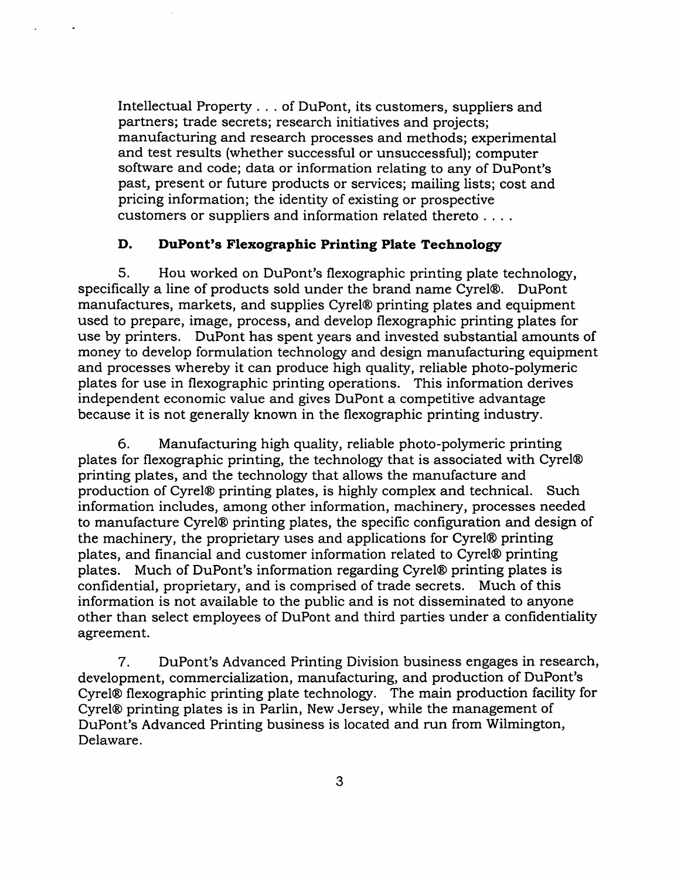Intellectual Property ... of DuPont, its customers, suppliers and partners; trade secrets; research initiatives and projects; manufacturing and research processes and methods; experimental and test results (whether successful or unsuccessful); computer software and code; data or information relating to any of DuPont's past, present or future products or services; mailing lists; cost and pricing information; the identity of existing or prospective customers or suppliers and information related thereto ....

### **D. DuPont's Flexographic Printing Plate Technology**

5. Hou worked on DuPont's flexographic printing plate technology, specifically a line of products sold under the brand name Cyrel®. DuPont manufactures, markets, and supplies Cyrel® printing plates and equipment used to prepare, image, process, and develop flexographic printing plates for use by printers. DuPont has spent years and invested substantial amounts of money to develop formulation technology and design manufacturing equipment and processes whereby it can produce high quality, reliable photo-polymeric plates for use in flexographic printing operations. This information derives independent economic value and gives DuPont a competitive advantage because it is not generally known in the flexographic printing industry.

6. Manufacturing high quality, reliable photo-polymeric printing plates for flexographic printing, the technology that is associated with Cyrel® printing plates, and the technology that allows the manufacture and production of Cyrel® printing plates, is highly complex and technical. Such information includes, among other information, machinery, processes needed to manufacture Cyrel® printing plates, the specific configuration and design of the machinery, the proprietary uses and applications for Cyrel® printing plates, and financial and customer information related to Cyrel® printing plates. Much of DuPont's information regarding Cyrel® printing plates is confidential, proprietary, and is comprised of trade secrets. Much of this information is not available to the public and is not disseminated to anyone other than select employees of DuPont and third parties under a confidentiality agreement.

7. DuPont's Advanced Printing Division business engages in research, development, commercialization, manufacturing, and production of DuPont's Cyrel® flexographic printing plate technology. The main production facility for Cyrel® printing plates is in Parlin, New Jersey, while the management of DuPont's Advanced Printing business is located and run from Wilmington, Delaware.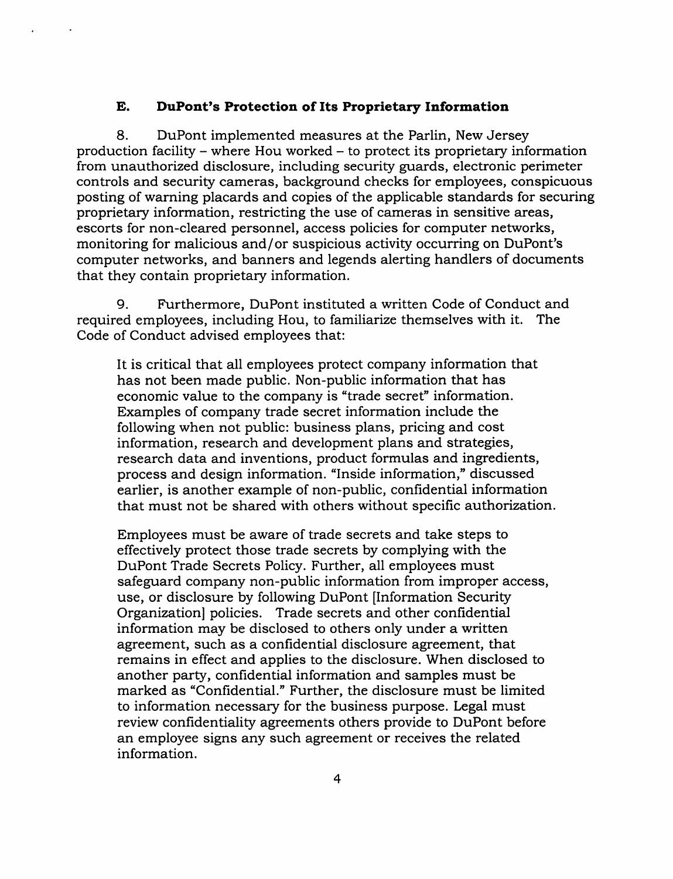#### **E. DuPont's Protection of Its Proprietary Information**

8. DuPont implemented measures at the Parlin, New Jersey production facility - where Hou worked - to protect its proprietary information from unauthorized disclosure, including security guards, electronic perimeter controls and security cameras, background checks for employees, conspicuous posting of warning placards and copies of the applicable standards for securing proprietary information, restricting the use of cameras in sensitive areas, escorts for non-cleared personnel, access policies for computer networks, monitoring for malicious and/or suspicious activity occurring on DuPont's computer networks, and banners and legends alerting handlers of documents that they contain proprietary information.

9. Furthermore, DuPont instituted a written Code of Conduct and required employees, including Hou, to familiarize themselves with it. The Code of Conduct advised employees that:

It is critical that all employees protect company information that has not been made public. Non-public information that has economic value to the company is "trade secret" information. Examples of company trade secret information include the following when not public: business plans, pricing and cost information, research and development plans and strategies, research data and inventions, product formulas and ingredients, process and design information. "Inside information," discussed earlier, is another example of non-public, confidential information that must not be shared with others without specific authorization.

Employees must be aware of trade secrets and take steps to effectively protect those trade secrets by complying with the DuPont Trade Secrets Policy. Further, all employees must safeguard company non-public information from improper access, use, or disclosure by following DuPont [Information Security Organization] policies. Trade secrets and other confidential information may be disclosed to others only under a written agreement, such as a confidential disclosure agreement, that remains in effect and applies to the disclosure. When disclosed to another party, confidential information and samples must be marked as "Confidential." Further, the disclosure must be limited to information necessary for the business purpose. Legal must review confidentiality agreements others provide to DuPont before an employee signs any such agreement or receives the related information.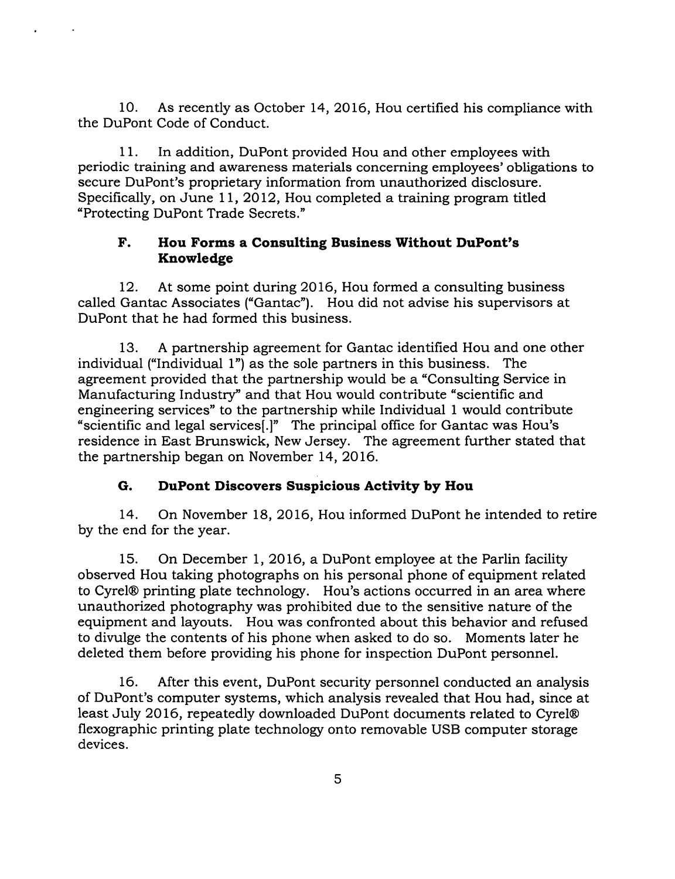10. As recently as October 14, 2016, Hou certified his compliance with the DuPont Code of Conduct.

11. In addition, DuPont provided Hou and other employees with periodic training and awareness materials concerning employees' obligations to secure DuPont's proprietary information from unauthorized disclosure. Specifically, on June 11, 2012, Hou completed a training program titled "Protecting DuPont Trade Secrets."

# **F. Hou Forms a Consulting Business Without DuPont's Knowledge**

12. At some point during 2016, Hou formed a consulting business called Gantac Associates ("Gantac"). Hou did not advise his supervisors at DuPont that he had formed this business.

13. A partnership agreement for Gantac identified Hou and one other individual ("Individual 1") as the sole partners in this business. The agreement provided that the partnership would be a "Consulting Service in Manufacturing Industry" and that Hou would contribute "scientific and engineering services" to the partnership while Individual 1 would contribute "scientific and legal services(.]" The principal office for Gantac was Hou's residence in East Brunswick, New Jersey. The agreement further stated that the partnership began on November 14, 2016.

# **G. DuPont Discovers Suspicious Activity by Hou**

14. On November 18, 2016, Hou informed DuPont he intended to retire by the end for the year.

15. On December 1, 2016, a DuPont employee at the Parlin facility observed Hou taking photographs on his personal phone of equipment related to Cyrel® printing plate technology. Hou's actions occurred in an area where unauthorized photography was prohibited due to the sensitive nature of the equipment and layouts. Hou was confronted about this behavior and refused to divulge the contents of his phone when asked to do so. Moments later he deleted them before providing his phone for inspection DuPont personnel.

16. After this event, DuPont security personnel conducted an analysis of DuPont's computer systems, which analysis revealed that Hou had, since at least July 2016, repeatedly downloaded DuPont documents related to Cyrel® flexographic printing plate technology onto removable USB computer storage devices.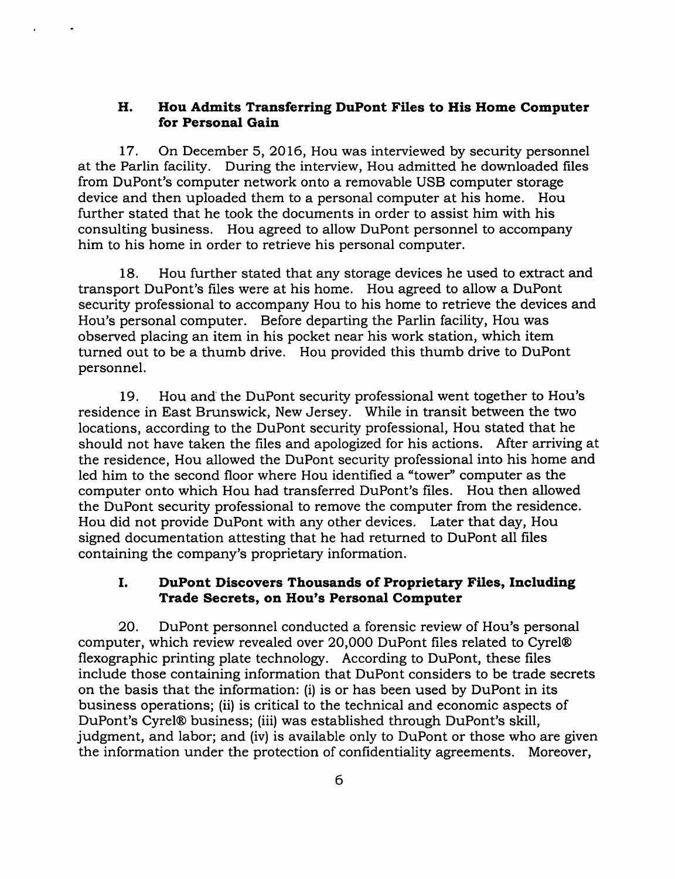### **H. Hou Admits Transferring DuPont Files to His Home Computer for Personal Gain**

17. On December 5, 2016, Hou was interviewed by security personnel at the Parlin facility. During the interview, Hou admitted he downloaded files from DuPont's computer network onto a removable USB computer storage device and then uploaded them to a personal computer at his home. Hou further stated that he took the documents in order to assist him with his consulting business. Hou agreed to allow DuPont personnel to accompany him to his home in order to retrieve his personal computer.

18. Hou further stated that any storage devices he used to extract and transport DuPont's files were at his home. Hou agreed to allow a DuPont security professional to accompany Hou to his home to retrieve the devices and Hou's personal computer. Before departing the Parlin facility, Hou was observed placing an item in his pocket near his work station, which item turned out to be a thumb drive. Hou provided this thumb drive to DuPont personnel.

19. Hou and the DuPont security professional went together to Hou's residence in East Brunswick, New Jersey. While in transit between the two locations, according to the DuPont security professional, Hou stated that he should not have taken the files and apologized for his actions. After arriving at the residence, Hou allowed the DuPont security professional into his home and led him to the second floor where Hou identified a "tower'' computer as the computer onto which Hou had transferred DuPont's files. Hou then allowed the DuPont security professional to remove the computer from the residence. Hou did not provide DuPont with any other devices. Later that day, Hou signed documentation attesting that he had returned to DuPont all files containing the company's proprietary information.

## I. **DuPont Discovers Thousands of Proprietary Files, Including Trade Secrets, on Hou's Personal Computer**

20. DuPont personnel conducted a forensic review of Hou's personal computer, which review revealed over 20,000 DuPont files related to Cyrel® flexographic printing plate technology. According to DuPont, these files include those containing information that DuPont considers to be trade secrets on the basis that the information: (i) is or has been used by DuPont in its business operations; (ii) is critical to the technical and economic aspects of DuPont's Cyrel® business; (iii) was established through DuPont's skill, judgment, and labor; and (iv) is available only to DuPont or those who are given the information under the protection of confidentiality agreements. Moreover,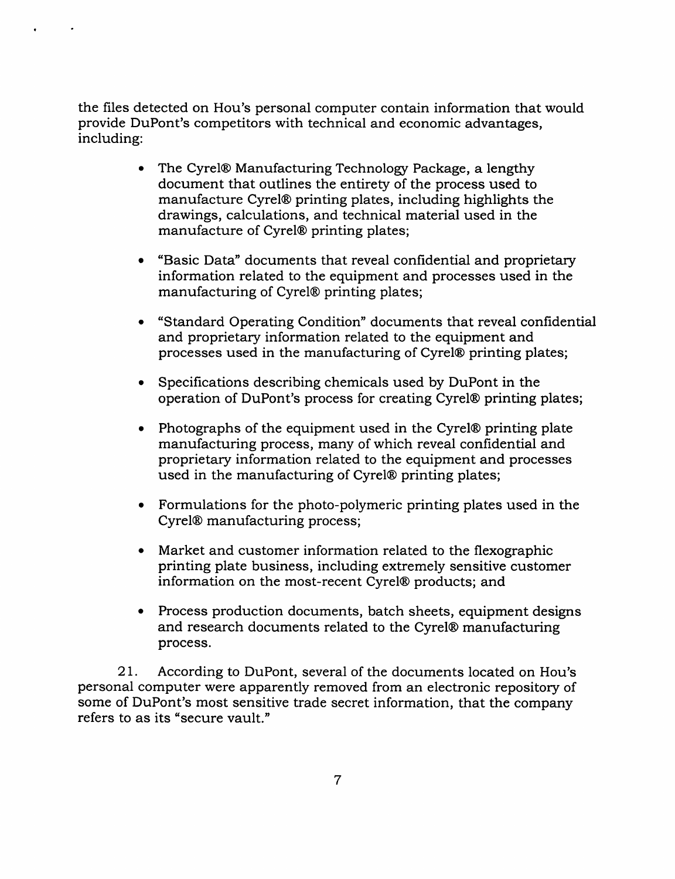the files detected on Hou's personal computer contain information that would provide DuPont's competitors with technical and economic advantages, including:

- The Cyrel® Manufacturing Technology Package, a lengthy document that outlines the entirety of the process used to manufacture Cyrel® printing plates, including highlights the drawings, calculations, and technical material used in the manufacture of Cyrel® printing plates;
- "Basic Data" documents that reveal confidential and proprietary information related to the equipment and processes used in the manufacturing of Cyrel® printing plates;
- "Standard Operating Condition" documents that reveal confidential and proprietary information related to the equipment and processes used in the manufacturing of Cyrel® printing plates;
- Specifications describing chemicals used by DuPont in the operation of DuPont's process for creating Cyrel® printing plates;
- Photographs of the equipment used in the Cyrel® printing plate manufacturing process, many of which reveal confidential and proprietary information related to the equipment and processes used in the manufacturing of Cyrel® printing plates;
- Formulations for the photo-polymeric printing plates used in the Cyrel® manufacturing process;
- Market and customer information related to the flexographic printing plate business, including extremely sensitive customer information on the most-recent Cyrel® products; and
- Process production documents, batch sheets, equipment designs and research documents related to the Cyrel® manufacturing process.

21. According to DuPont, several of the documents located on Hou's personal computer were apparently removed from an electronic repository of some of DuPont's most sensitive trade secret information, that the company refers to as its "secure vault."